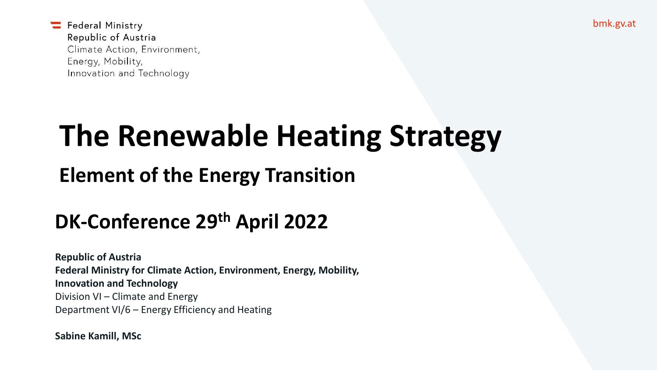bmk.gv.at

Federal Ministry Republic of Austria Climate Action, Environment, Energy, Mobility, Innovation and Technology

# **The Renewable Heating Strategy**

### **Element of the Energy Transition**

### **DK-Conference 29th April 2022**

**Republic of Austria Federal Ministry for Climate Action, Environment, Energy, Mobility, Innovation and Technology** Division VI – Climate and Energy Department VI/6 – Energy Efficiency and Heating

**Sabine Kamill, MSc**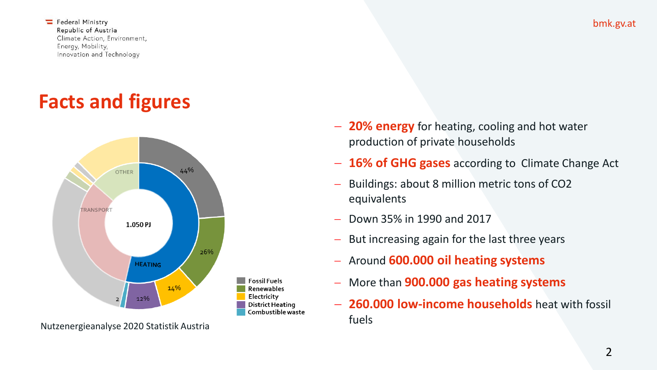### **Facts and figures**



- − **16% of GHG gases** according to Climate Change Act
- Buildings: about 8 million metric tons of CO2 equivalents
- − Down 35% in 1990 and 2017
- But increasing again for the last three years
- − Around **600.000 oil heating systems**
- − More than **900.000 gas heating systems**
- − **260.000 low-income households** heat with fossil fuels

bmk.gv.at

<sup>−</sup> **20% energy** for heating, cooling and hot water production of private households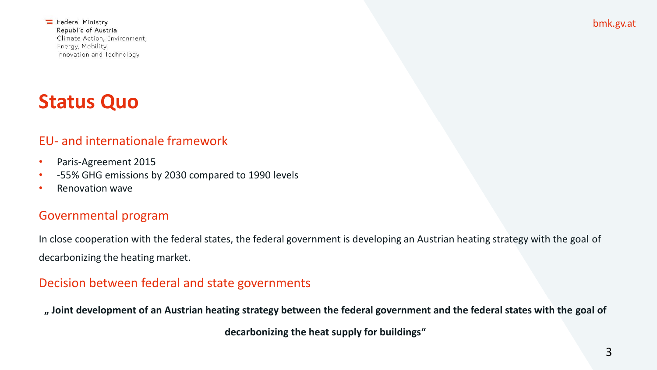### **Status Quo**

#### EU- and internationale framework

- Paris-Agreement 2015
- -55% GHG emissions by 2030 compared to 1990 levels
- Renovation wave

#### Governmental program

In close cooperation with the federal states, the federal government is developing an Austrian heating strategy with the goal of decarbonizing the heating market.

#### Decision between federal and state governments

**" Joint development of an Austrian heating strategy between the federal government and the federal states with the goal of** 

**decarbonizing the heat supply for buildings"**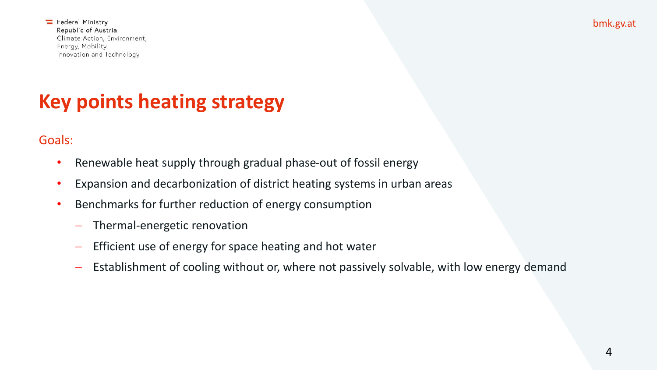bmk.gv.at

Federal Ministry Republic of Austria Climate Action, Environment, Energy, Mobility, Innovation and Technology

### **Key points heating strategy**

Goals:

- Renewable heat supply through gradual phase-out of fossil energy
- Expansion and decarbonization of district heating systems in urban areas
- Benchmarks for further reduction of energy consumption
	- − Thermal-energetic renovation
	- − Efficient use of energy for space heating and hot water
	- − Establishment of cooling without or, where not passively solvable, with low energy demand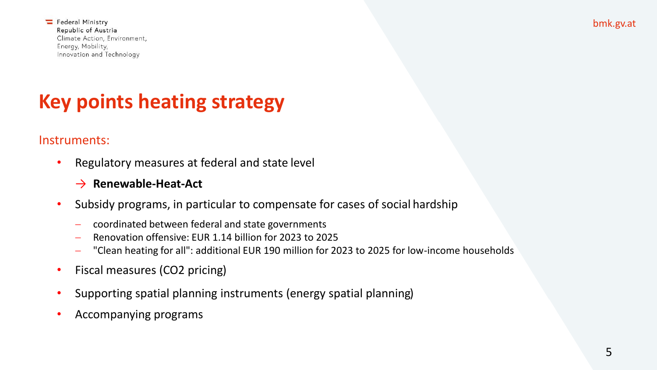### **Key points heating strategy**

#### Instruments:

• Regulatory measures at federal and state level

#### → **Renewable-Heat-Act**

- Subsidy programs, in particular to compensate for cases of social hardship
	- − coordinated between federal and state governments
	- − Renovation offensive: EUR 1.14 billion for 2023 to 2025
	- − "Clean heating for all": additional EUR 190 million for 2023 to 2025 for low-income households
- Fiscal measures (CO2 pricing)
- Supporting spatial planning instruments (energy spatial planning)
- Accompanying programs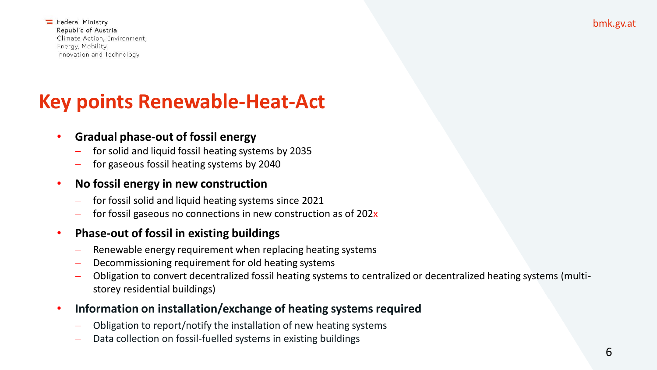### **Key points Renewable-Heat-Act**

#### • **Gradual phase-out of fossil energy**

- − for solid and liquid fossil heating systems by 2035
- − for gaseous fossil heating systems by 2040

#### • **No fossil energy in new construction**

- − for fossil solid and liquid heating systems since 2021
- for fossil gaseous no connections in new construction as of 202x

#### • **Phase-out of fossil in existing buildings**

- Renewable energy requirement when replacing heating systems
- Decommissioning requirement for old heating systems
- − Obligation to convert decentralized fossil heating systems to centralized or decentralized heating systems (multistorey residential buildings)
- **Information on installation/exchange of heating systems required**
	- − Obligation to report/notify the installation of new heating systems
	- Data collection on fossil-fuelled systems in existing buildings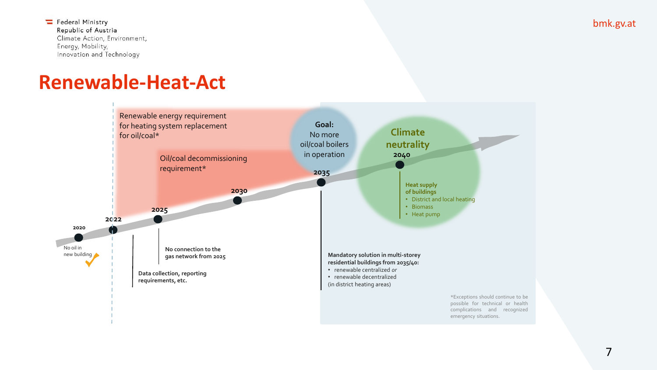### **Renewable-Heat-Act**